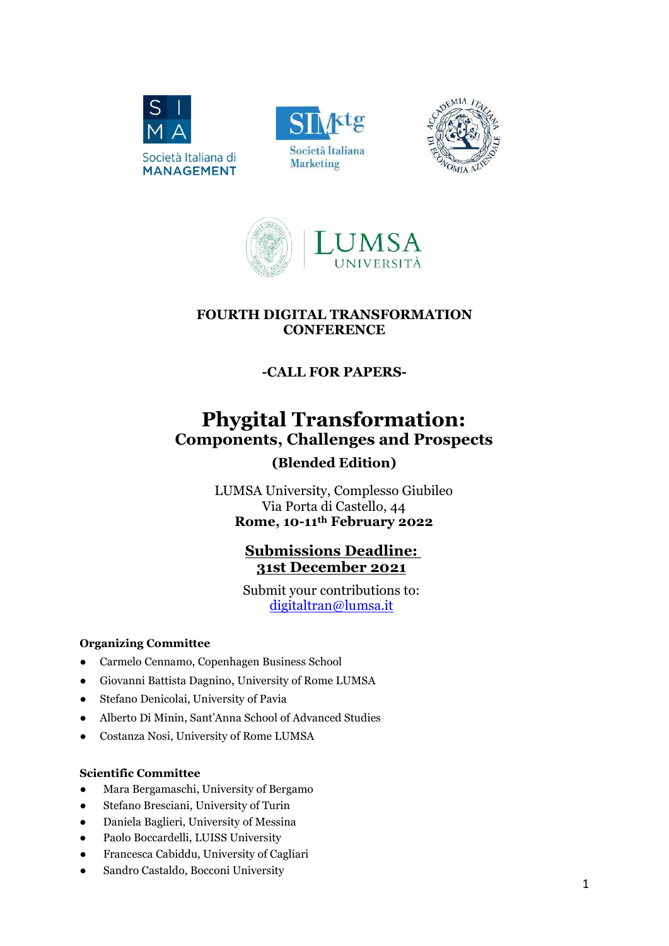







#### FOURTH DIGITAL TRANSFORMATION **CONFERENCE**

## -CALL FOR PAPERS-

# Phygital Transformation: Components, Challenges and Prospects (Blended Edition)

LUMSA University, Complesso Giubileo Via Porta di Castello, 44 Rome, 10-11th February 2022

### Submissions Deadline: 31st December 2021

Submit your contributions to: digitaltran@lumsa.it

#### Organizing Committee

- Carmelo Cennamo, Copenhagen Business School
- Giovanni Battista Dagnino, University of Rome LUMSA
- Stefano Denicolai, University of Pavia
- Alberto Di Minin, Sant'Anna School of Advanced Studies
- Costanza Nosi, University of Rome LUMSA

#### Scientific Committee

- Mara Bergamaschi, University of Bergamo
- Stefano Bresciani, University of Turin
- Daniela Baglieri, University of Messina
- Paolo Boccardelli, LUISS University
- Francesca Cabiddu, University of Cagliari
- Sandro Castaldo, Bocconi University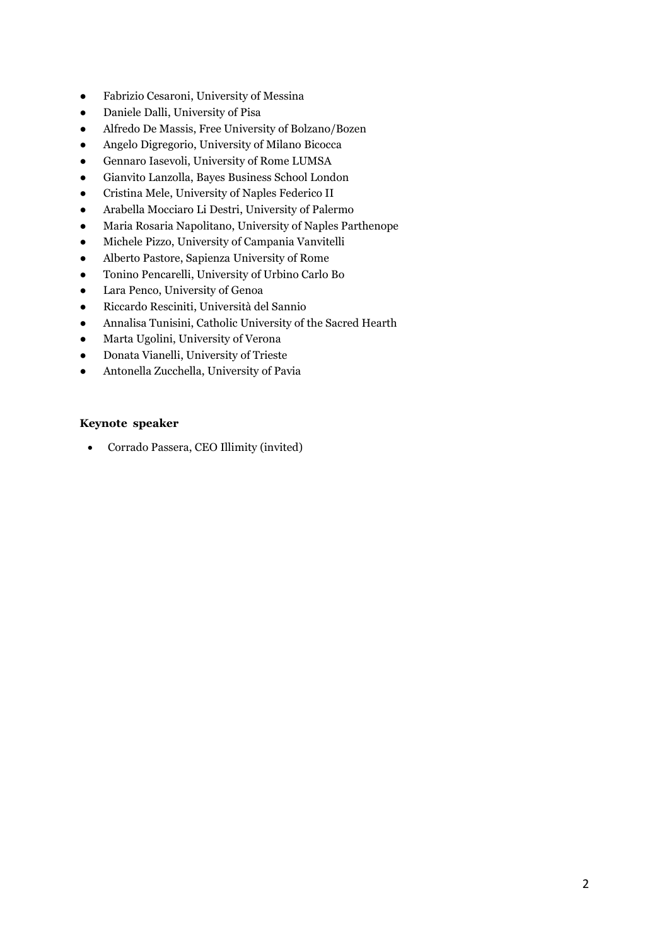- Fabrizio Cesaroni, University of Messina
- Daniele Dalli, University of Pisa
- Alfredo De Massis, Free University of Bolzano/Bozen
- Angelo Digregorio, University of Milano Bicocca
- Gennaro Iasevoli, University of Rome LUMSA
- Gianvito Lanzolla, Bayes Business School London
- Cristina Mele, University of Naples Federico II
- Arabella Mocciaro Li Destri, University of Palermo
- Maria Rosaria Napolitano, University of Naples Parthenope
- Michele Pizzo, University of Campania Vanvitelli
- Alberto Pastore, Sapienza University of Rome
- Tonino Pencarelli, University of Urbino Carlo Bo
- Lara Penco, University of Genoa
- Riccardo Resciniti, Università del Sannio
- Annalisa Tunisini, Catholic University of the Sacred Hearth
- Marta Ugolini, University of Verona
- Donata Vianelli, University of Trieste
- Antonella Zucchella, University of Pavia

#### Keynote speaker

Corrado Passera, CEO Illimity (invited)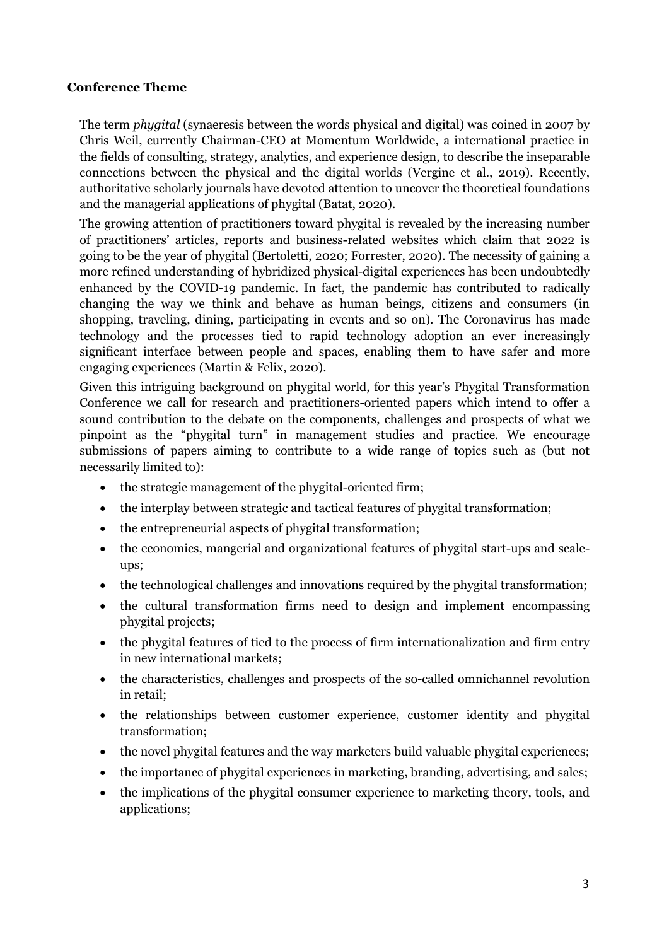#### Conference Theme

The term phygital (synaeresis between the words physical and digital) was coined in 2007 by Chris Weil, currently Chairman-CEO at Momentum Worldwide, a international practice in the fields of consulting, strategy, analytics, and experience design, to describe the inseparable connections between the physical and the digital worlds (Vergine et al., 2019). Recently, authoritative scholarly journals have devoted attention to uncover the theoretical foundations and the managerial applications of phygital (Batat, 2020).

The growing attention of practitioners toward phygital is revealed by the increasing number of practitioners' articles, reports and business-related websites which claim that 2022 is going to be the year of phygital (Bertoletti, 2020; Forrester, 2020). The necessity of gaining a more refined understanding of hybridized physical-digital experiences has been undoubtedly enhanced by the COVID-19 pandemic. In fact, the pandemic has contributed to radically changing the way we think and behave as human beings, citizens and consumers (in shopping, traveling, dining, participating in events and so on). The Coronavirus has made technology and the processes tied to rapid technology adoption an ever increasingly significant interface between people and spaces, enabling them to have safer and more engaging experiences (Martin & Felix, 2020).

Given this intriguing background on phygital world, for this year's Phygital Transformation Conference we call for research and practitioners-oriented papers which intend to offer a sound contribution to the debate on the components, challenges and prospects of what we pinpoint as the "phygital turn" in management studies and practice. We encourage submissions of papers aiming to contribute to a wide range of topics such as (but not necessarily limited to):

- the strategic management of the phygital-oriented firm;
- the interplay between strategic and tactical features of phygital transformation;
- the entrepreneurial aspects of phygital transformation;
- the economics, mangerial and organizational features of phygital start-ups and scaleups;
- the technological challenges and innovations required by the phygital transformation;
- the cultural transformation firms need to design and implement encompassing phygital projects;
- the phygital features of tied to the process of firm internationalization and firm entry in new international markets;
- the characteristics, challenges and prospects of the so-called omnichannel revolution in retail;
- the relationships between customer experience, customer identity and phygital transformation;
- the novel phygital features and the way marketers build valuable phygital experiences;
- the importance of phygital experiences in marketing, branding, advertising, and sales;
- the implications of the phygital consumer experience to marketing theory, tools, and applications;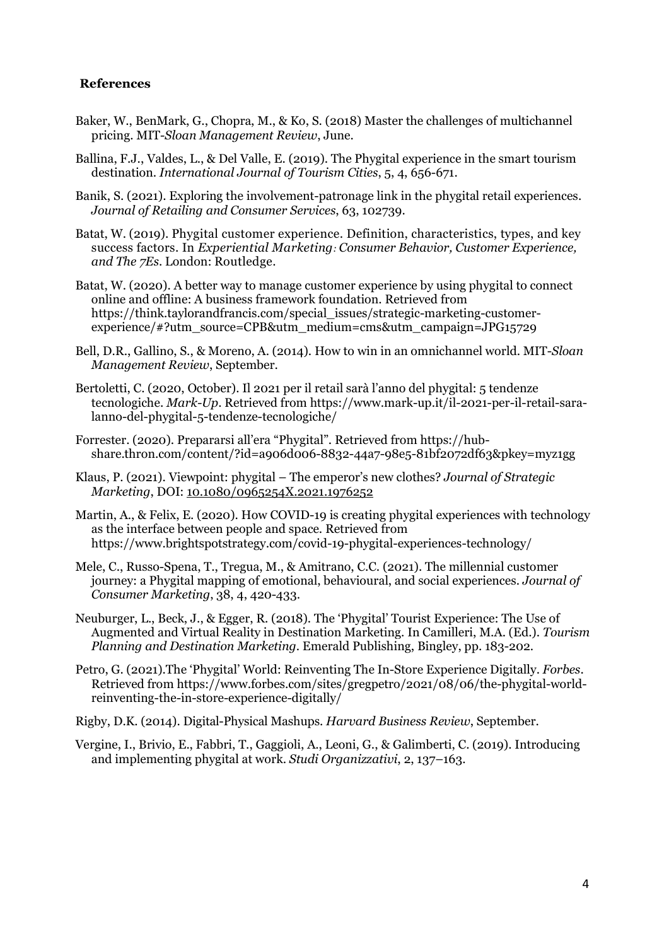#### References

- Baker, W., BenMark, G., Chopra, M., & Ko, S. (2018) Master the challenges of multichannel pricing. MIT-Sloan Management Review, June.
- Ballina, F.J., Valdes, L., & Del Valle, E. (2019). The Phygital experience in the smart tourism destination. International Journal of Tourism Cities, 5, 4, 656-671.
- Banik, S. (2021). Exploring the involvement-patronage link in the phygital retail experiences. Journal of Retailing and Consumer Services, 63, 102739.
- Batat, W. (2019). Phygital customer experience. Definition, characteristics, types, and key success factors. In Experiential Marketing: Consumer Behavior, Customer Experience, and The 7Es. London: Routledge.
- Batat, W. (2020). A better way to manage customer experience by using phygital to connect online and offline: A business framework foundation. Retrieved from https://think.taylorandfrancis.com/special\_issues/strategic-marketing-customerexperience/#?utm\_source=CPB&utm\_medium=cms&utm\_campaign=JPG15729
- Bell, D.R., Gallino, S., & Moreno, A. (2014). How to win in an omnichannel world. MIT-Sloan Management Review, September.
- Bertoletti, C. (2020, October). Il 2021 per il retail sarà l'anno del phygital: 5 tendenze tecnologiche. Mark-Up. Retrieved from https://www.mark-up.it/il-2021-per-il-retail-saralanno-del-phygital-5-tendenze-tecnologiche/
- Forrester. (2020). Prepararsi all'era "Phygital". Retrieved from https://hubshare.thron.com/content/?id=a906d006-8832-44a7-98e5-81bf2072df63&pkey=myz1gg
- Klaus, P. (2021). Viewpoint: phygital The emperor's new clothes? Journal of Strategic Marketing, DOI: 10.1080/0965254X.2021.1976252
- Martin, A., & Felix, E. (2020). How COVID-19 is creating phygital experiences with technology as the interface between people and space. Retrieved from https://www.brightspotstrategy.com/covid-19-phygital-experiences-technology/
- Mele, C., Russo-Spena, T., Tregua, M., & Amitrano, C.C. (2021). The millennial customer journey: a Phygital mapping of emotional, behavioural, and social experiences. Journal of Consumer Marketing, 38, 4, 420-433.
- Neuburger, L., Beck, J., & Egger, R. (2018). The 'Phygital' Tourist Experience: The Use of Augmented and Virtual Reality in Destination Marketing. In Camilleri, M.A. (Ed.). Tourism Planning and Destination Marketing. Emerald Publishing, Bingley, pp. 183-202.
- Petro, G. (2021).The 'Phygital' World: Reinventing The In-Store Experience Digitally. Forbes. Retrieved from https://www.forbes.com/sites/gregpetro/2021/08/06/the-phygital-worldreinventing-the-in-store-experience-digitally/
- Rigby, D.K. (2014). Digital-Physical Mashups. Harvard Business Review, September.
- Vergine, I., Brivio, E., Fabbri, T., Gaggioli, A., Leoni, G., & Galimberti, C. (2019). Introducing and implementing phygital at work. Studi Organizzativi, 2, 137–163.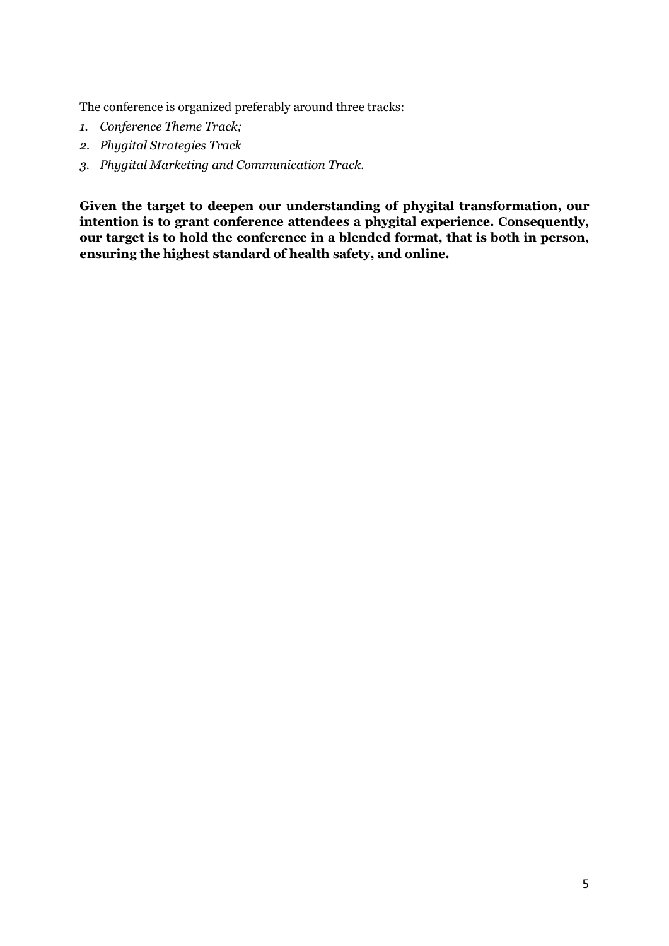The conference is organized preferably around three tracks:

- 1. Conference Theme Track;
- 2. Phygital Strategies Track
- 3. Phygital Marketing and Communication Track.

Given the target to deepen our understanding of phygital transformation, our intention is to grant conference attendees a phygital experience. Consequently, our target is to hold the conference in a blended format, that is both in person, ensuring the highest standard of health safety, and online.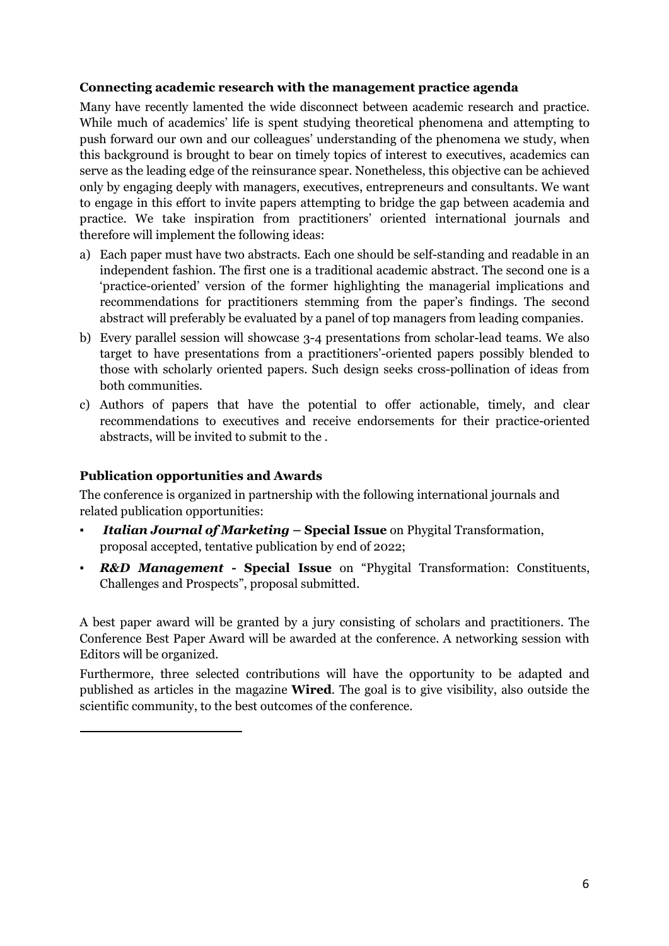#### Connecting academic research with the management practice agenda

Many have recently lamented the wide disconnect between academic research and practice. While much of academics' life is spent studying theoretical phenomena and attempting to push forward our own and our colleagues' understanding of the phenomena we study, when this background is brought to bear on timely topics of interest to executives, academics can serve as the leading edge of the reinsurance spear. Nonetheless, this objective can be achieved only by engaging deeply with managers, executives, entrepreneurs and consultants. We want to engage in this effort to invite papers attempting to bridge the gap between academia and practice. We take inspiration from practitioners' oriented international journals and therefore will implement the following ideas:

- a) Each paper must have two abstracts. Each one should be self-standing and readable in an independent fashion. The first one is a traditional academic abstract. The second one is a 'practice-oriented' version of the former highlighting the managerial implications and recommendations for practitioners stemming from the paper's findings. The second abstract will preferably be evaluated by a panel of top managers from leading companies.
- b) Every parallel session will showcase 3-4 presentations from scholar-lead teams. We also target to have presentations from a practitioners'-oriented papers possibly blended to those with scholarly oriented papers. Such design seeks cross-pollination of ideas from both communities.
- c) Authors of papers that have the potential to offer actionable, timely, and clear recommendations to executives and receive endorsements for their practice-oriented abstracts, will be invited to submit to the .

#### Publication opportunities and Awards

The conference is organized in partnership with the following international journals and related publication opportunities:

- **Italian Journal of Marketing Special Issue** on Phygital Transformation, proposal accepted, tentative publication by end of 2022;
- **R&D Management Special Issue** on "Phygital Transformation: Constituents, Challenges and Prospects", proposal submitted.

A best paper award will be granted by a jury consisting of scholars and practitioners. The Conference Best Paper Award will be awarded at the conference. A networking session with Editors will be organized.

Furthermore, three selected contributions will have the opportunity to be adapted and published as articles in the magazine Wired. The goal is to give visibility, also outside the scientific community, to the best outcomes of the conference.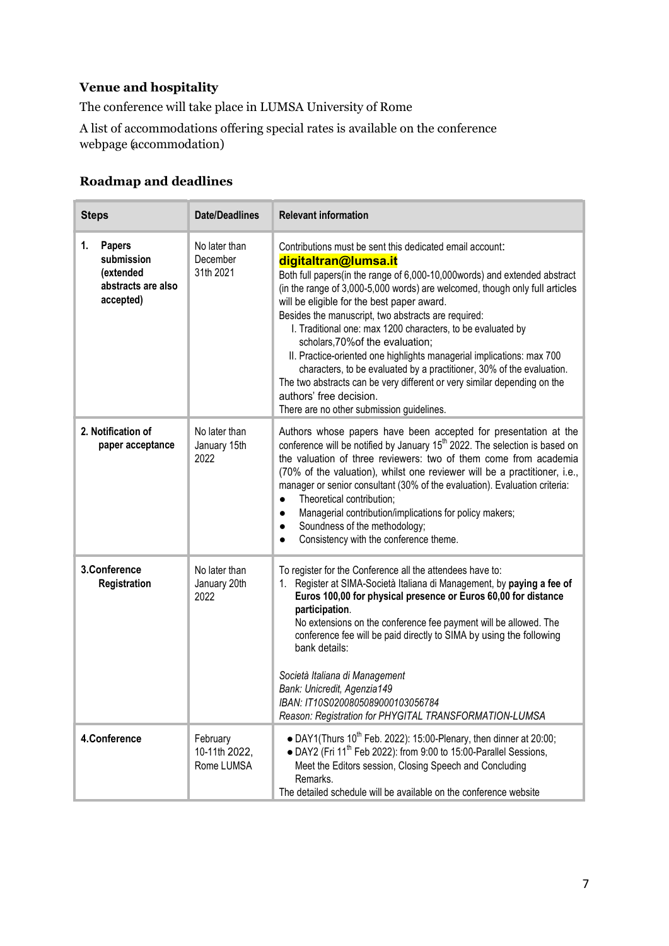### Venue and hospitality

The conference will take place in LUMSA University of Rome

A list of accommodations offering special rates is available on the conference webpage (accommodation)

#### Roadmap and deadlines

| <b>Steps</b>                                                                      | <b>Date/Deadlines</b>                   | <b>Relevant information</b>                                                                                                                                                                                                                                                                                                                                                                                                                                                                                                                                                                                                                                                                                                                                 |
|-----------------------------------------------------------------------------------|-----------------------------------------|-------------------------------------------------------------------------------------------------------------------------------------------------------------------------------------------------------------------------------------------------------------------------------------------------------------------------------------------------------------------------------------------------------------------------------------------------------------------------------------------------------------------------------------------------------------------------------------------------------------------------------------------------------------------------------------------------------------------------------------------------------------|
| <b>Papers</b><br>1.<br>submission<br>(extended<br>abstracts are also<br>accepted) | No later than<br>December<br>31th 2021  | Contributions must be sent this dedicated email account:<br>digitaltran@lumsa.it<br>Both full papers(in the range of 6,000-10,000 words) and extended abstract<br>(in the range of 3,000-5,000 words) are welcomed, though only full articles<br>will be eligible for the best paper award.<br>Besides the manuscript, two abstracts are required:<br>I. Traditional one: max 1200 characters, to be evaluated by<br>scholars, 70% of the evaluation;<br>II. Practice-oriented one highlights managerial implications: max 700<br>characters, to be evaluated by a practitioner, 30% of the evaluation.<br>The two abstracts can be very different or very similar depending on the<br>authors' free decision.<br>There are no other submission guidelines. |
| 2. Notification of<br>paper acceptance                                            | No later than<br>January 15th<br>2022   | Authors whose papers have been accepted for presentation at the<br>conference will be notified by January 15 <sup>th</sup> 2022. The selection is based on<br>the valuation of three reviewers: two of them come from academia<br>(70% of the valuation), whilst one reviewer will be a practitioner, i.e.,<br>manager or senior consultant (30% of the evaluation). Evaluation criteria:<br>Theoretical contribution;<br>$\bullet$<br>Managerial contribution/implications for policy makers;<br>$\bullet$<br>Soundness of the methodology;<br>$\bullet$<br>Consistency with the conference theme.<br>$\bullet$                                                                                                                                            |
| 3.Conference<br>Registration                                                      | No later than<br>January 20th<br>2022   | To register for the Conference all the attendees have to:<br>1. Register at SIMA-Società Italiana di Management, by paying a fee of<br>Euros 100,00 for physical presence or Euros 60,00 for distance<br>participation.<br>No extensions on the conference fee payment will be allowed. The<br>conference fee will be paid directly to SIMA by using the following<br>bank details:<br>Società Italiana di Management<br>Bank: Unicredit, Agenzia149<br>IBAN: IT10S0200805089000103056784<br>Reason: Registration for PHYGITAL TRANSFORMATION-LUMSA                                                                                                                                                                                                         |
| 4.Conference                                                                      | February<br>10-11th 2022,<br>Rome LUMSA | • DAY1(Thurs $10^{th}$ Feb. 2022): 15:00-Plenary, then dinner at 20:00;<br>• DAY2 (Fri 11 <sup>th</sup> Feb 2022): from 9:00 to 15:00-Parallel Sessions,<br>Meet the Editors session, Closing Speech and Concluding<br>Remarks.<br>The detailed schedule will be available on the conference website                                                                                                                                                                                                                                                                                                                                                                                                                                                        |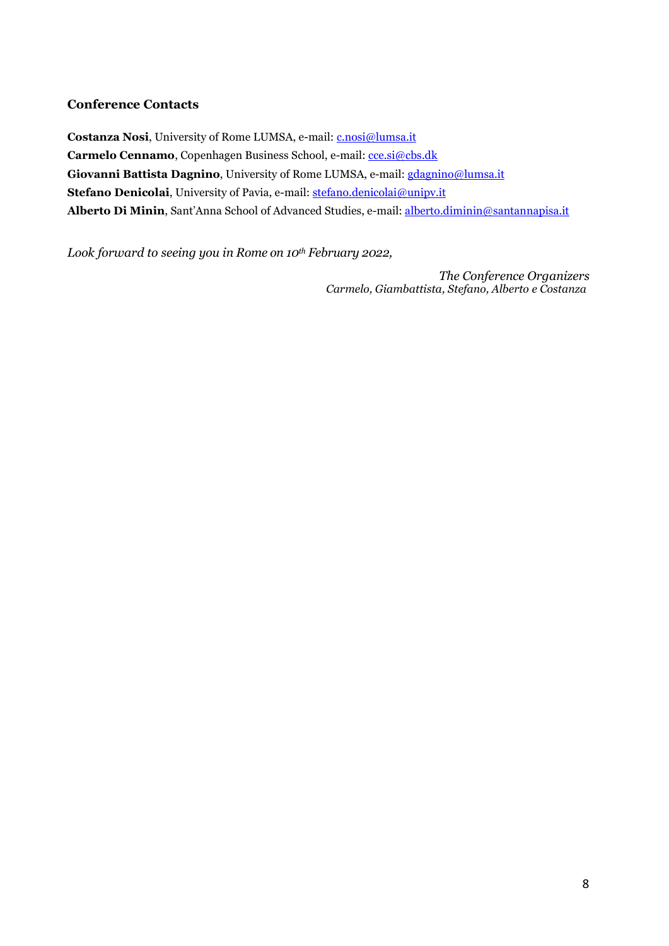#### Conference Contacts

Costanza Nosi, University of Rome LUMSA, e-mail: c.nosi@lumsa.it Carmelo Cennamo, Copenhagen Business School, e-mail: cce.si@cbs.dk Giovanni Battista Dagnino, University of Rome LUMSA, e-mail: gdagnino@lumsa.it Stefano Denicolai, University of Pavia, e-mail: stefano.denicolai@unipv.it Alberto Di Minin, Sant'Anna School of Advanced Studies, e-mail: alberto.diminin@santannapisa.it

Look forward to seeing you in Rome on  $10^{th}$  February 2022,

The Conference Organizers Carmelo, Giambattista, Stefano, Alberto e Costanza